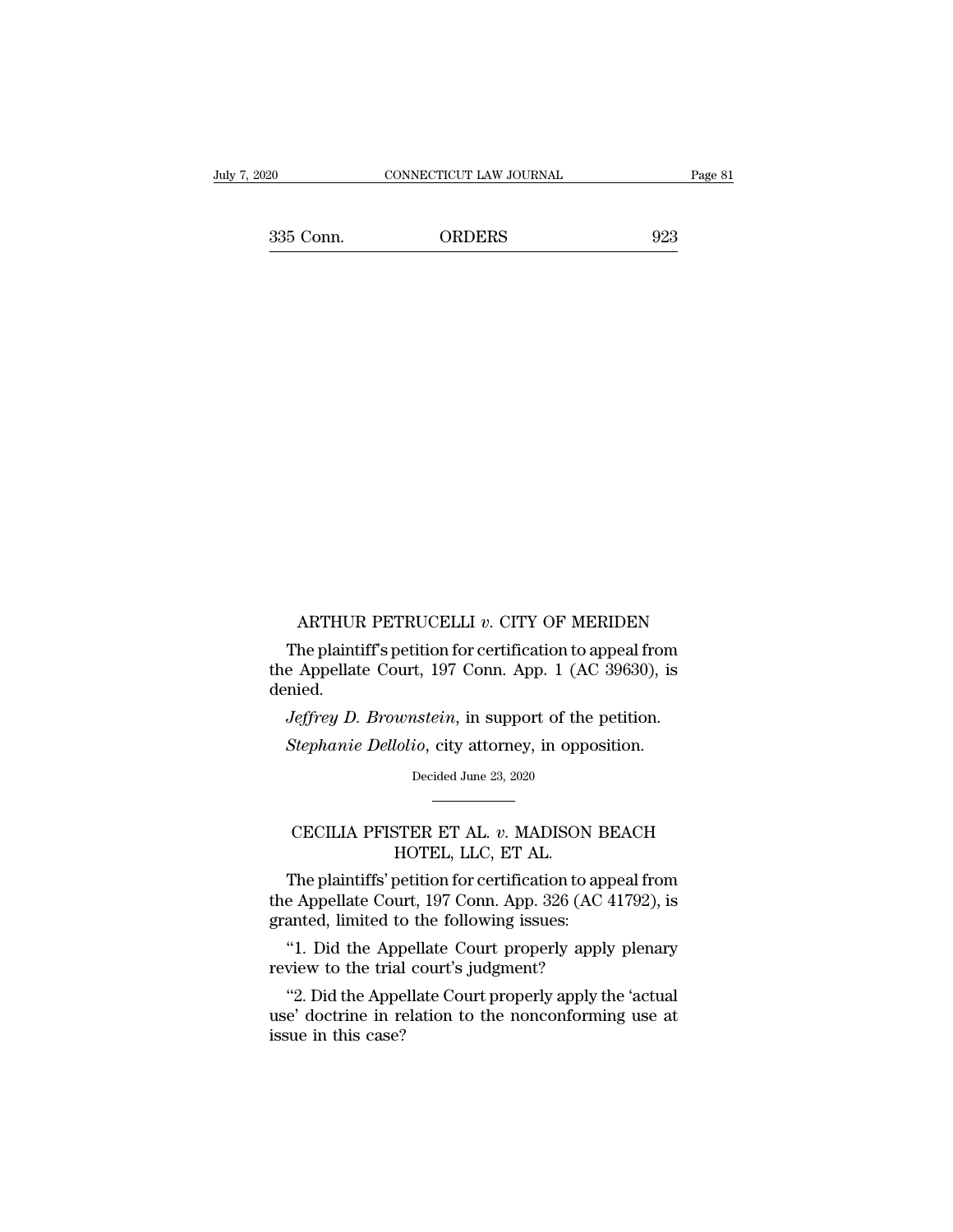EXECUTE CONNECTICUT LAW JOURNAL Page 81<br>335 Conn. ORDERS 923

ARTHUR PETRUCELLI *<sup>v</sup>*. CITY OF MERIDEN ARTHUR PETRUCELLI  $v$ . CITY OF MERIDEN<br>The plaintiff's petition for certification to appeal from<br>e Appellate Court, 197 Conn. App. 1 (AC 39630), is ARTHUR PETRUCELLI  $v$ . CITY OF MERIDEN<br>The plaintiff's petition for certification to appeal from<br>the Appellate Court, 197 Conn. App. 1 (AC 39630), is<br>denied. denied. ARTHUR PETRUCELLI *v*. CITY OF MERIDEN<br>The plaintiff's petition for certification to appeal from<br>e Appellate Court, 197 Conn. App. 1 (AC 39630), is<br>nied.<br>*Jeffrey D. Brownstein*, in support of the petition.<br>*Stephanie Dell* ARTHUR PETRUCELLI *v*. CITY OF MERIDEN<br>The plaintiff's petition for certification to appeal from<br>the Appellate Court, 197 Conn. App. 1 (AC 39630), is<br>denied.<br>*Jeffrey D. Brownstein*, in support of the petition.<br>*Stephanie* 

*Jeffrey D. Brownstein*, in support of the petition.<br>Stephanie Dellolio, city attorney, in opposition.<br>Decided June 23, 2020

## Veffrey D. Brownstein, in support of the petition.<br>
Stephanie Dellolio, city attorney, in opposition.<br>
Decided June 23, 2020<br>
The Manuson BEACH<br>
CECILIA PFISTER ET AL. *v*. MADISON BEACH<br>
HOTEL, LLC, ET AL.

CECILIA PFISTER ET AL. *v*. MADISON BEACH<br>HOTEL, LLC, ET AL.<br>The plaintiffs' petition for certification to appeal from<br>the Appellate Court, 197 Conn. App. 326 (AC 41792), is Decided June 23, 2020<br>
Decided June 23, 2020<br>
The plaintiffs' petition for certification to appeal from<br>
Expediant Court, 197 Conn. App. 326 (AC 41792), is<br>
anted limited to the following issues: Decided June 23, 2020<br>
CECILIA PFISTER ET AL. v. MADISON BEACH<br>
HOTEL, LLC, ET AL.<br>
The plaintiffs' petition for certification to appeal from<br>
the Appellate Court, 197 Conn. App. 326 (AC 41792), is<br>
granted, limited to the GECILIA PFISTER ET AL. *v*. MADISON B<br>HOTEL, LLC, ET AL.<br>The plaintiffs' petition for certification to ap<br>the Appellate Court, 197 Conn. App. 326 (AC<br>granted, limited to the following issues:<br>"1. Did the Appellate Court pr CECILIA PFISTER ET AL. v. MADISON BEACH<br>
HOTEL, LLC, ET AL.<br>
The plaintiffs' petition for certification to appeal from<br>
e Appellate Court, 197 Conn. App. 326 (AC 41792), is<br>
anted, limited to the following issues:<br>
"1. Did HOTEL, LLC, ET AL.<br>The plaintiffs' petition for certification to app<br>the Appellate Court, 197 Conn. App. 326 (AC 4<br>granted, limited to the following issues:<br>"1. Did the Appellate Court properly apply<br>review to the trial co The plaintiffs' petition for certification to appeal from<br>
e Appellate Court, 197 Conn. App. 326 (AC 41792), is<br>
anted, limited to the following issues:<br>
"1. Did the Appellate Court properly apply plenary<br>
view to the tria

the Appellate Court, 197 Conn. App. 326 (AC 41792), is granted, limited to the following issues:<br>"1. Did the Appellate Court properly apply plenary<br>review to the trial court's judgment?<br>"2. Did the Appellate Court properly granted, limited to<br>
"1. Did the App<br>
review to the trial<br>
"2. Did the Appe<br>
use' doctrine in reassue in this case?